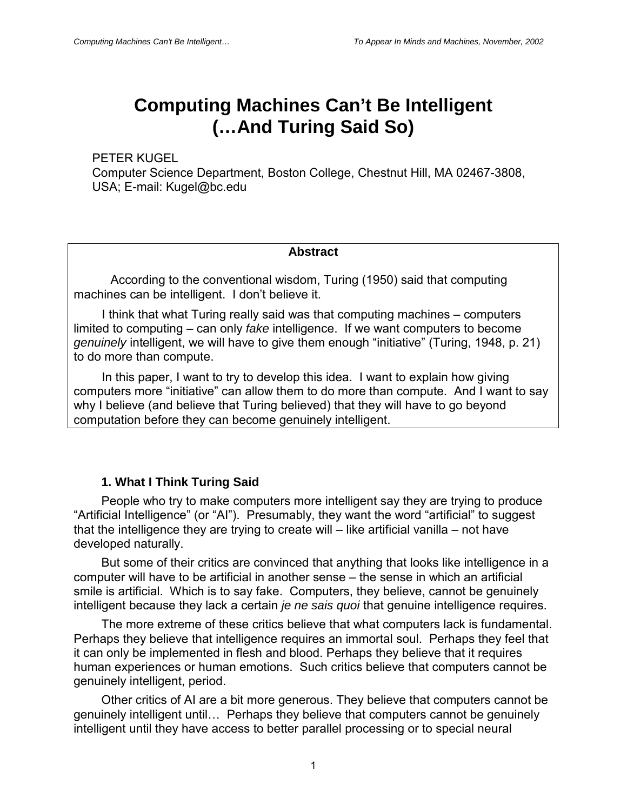# **Computing Machines Can't Be Intelligent (…And Turing Said So)**

PETER KUGEL

Computer Science Department, Boston College, Chestnut Hill, MA 02467-3808, USA; E-mail: Kugel@bc.edu

#### **Abstract**

 According to the conventional wisdom, Turing (1950) said that computing machines can be intelligent. I don't believe it.

I think that what Turing really said was that computing machines – computers limited to computing – can only *fake* intelligence. If we want computers to become *genuinely* intelligent, we will have to give them enough "initiative" (Turing, 1948, p. 21) to do more than compute.

In this paper, I want to try to develop this idea. I want to explain how giving computers more "initiative" can allow them to do more than compute. And I want to say why I believe (and believe that Turing believed) that they will have to go beyond computation before they can become genuinely intelligent.

# **1. What I Think Turing Said**

People who try to make computers more intelligent say they are trying to produce "Artificial Intelligence" (or "AI"). Presumably, they want the word "artificial" to suggest that the intelligence they are trying to create will  $-$  like artificial vanilla  $-$  not have developed naturally.

But some of their critics are convinced that anything that looks like intelligence in a computer will have to be artificial in another sense  $-$  the sense in which an artificial smile is artificial. Which is to say fake. Computers, they believe, cannot be genuinely intelligent because they lack a certain *je ne sais quoi* that genuine intelligence requires.

The more extreme of these critics believe that what computers lack is fundamental. Perhaps they believe that intelligence requires an immortal soul. Perhaps they feel that it can only be implemented in flesh and blood. Perhaps they believe that it requires human experiences or human emotions. Such critics believe that computers cannot be genuinely intelligent, period.

Other critics of AI are a bit more generous. They believe that computers cannot be genuinely intelligent until... Perhaps they believe that computers cannot be genuinely intelligent until they have access to better parallel processing or to special neural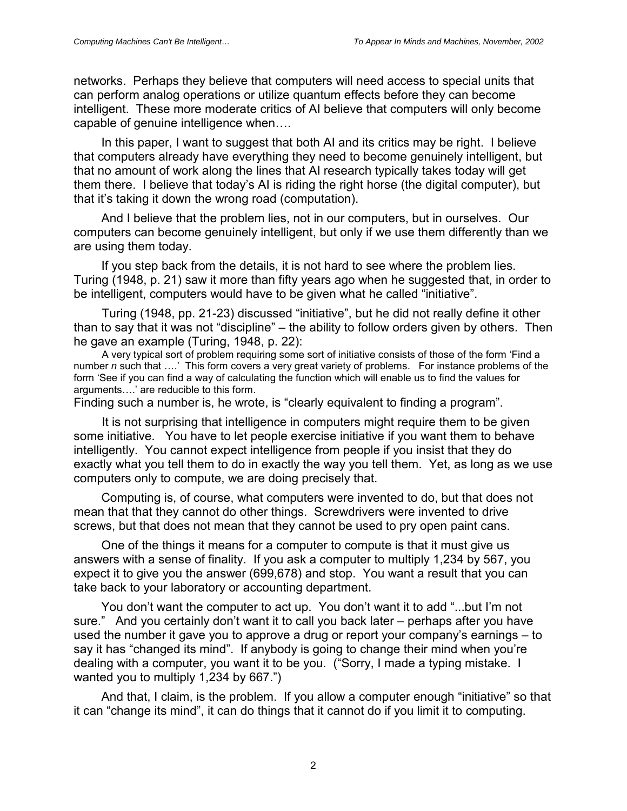networks. Perhaps they believe that computers will need access to special units that can perform analog operations or utilize quantum effects before they can become intelligent. These more moderate critics of AI believe that computers will only become capable of genuine intelligence when....

In this paper, I want to suggest that both AI and its critics may be right. I believe that computers already have everything they need to become genuinely intelligent, but that no amount of work along the lines that AI research typically takes today will get them there. I believe that todayís AI is riding the right horse (the digital computer), but that it's taking it down the wrong road (computation).

And I believe that the problem lies, not in our computers, but in ourselves. Our computers can become genuinely intelligent, but only if we use them differently than we are using them today.

If you step back from the details, it is not hard to see where the problem lies. Turing (1948, p. 21) saw it more than fifty years ago when he suggested that, in order to be intelligent, computers would have to be given what he called "initiative".

Turing (1948, pp. 21-23) discussed "initiative", but he did not really define it other than to say that it was not "discipline"  $-$  the ability to follow orders given by others. Then he gave an example (Turing, 1948, p. 22):

A very typical sort of problem requiring some sort of initiative consists of those of the form 'Find a number *n* such that ....' This form covers a very great variety of problems. For instance problems of the form 'See if you can find a way of calculating the function which will enable us to find the values for arguments....' are reducible to this form.

Finding such a number is, he wrote, is "clearly equivalent to finding a program".

It is not surprising that intelligence in computers might require them to be given some initiative. You have to let people exercise initiative if you want them to behave intelligently. You cannot expect intelligence from people if you insist that they do exactly what you tell them to do in exactly the way you tell them. Yet, as long as we use computers only to compute, we are doing precisely that.

Computing is, of course, what computers were invented to do, but that does not mean that that they cannot do other things. Screwdrivers were invented to drive screws, but that does not mean that they cannot be used to pry open paint cans.

One of the things it means for a computer to compute is that it must give us answers with a sense of finality. If you ask a computer to multiply 1,234 by 567, you expect it to give you the answer (699,678) and stop. You want a result that you can take back to your laboratory or accounting department.

You don't want the computer to act up. You don't want it to add "...but I'm not sure." And you certainly don't want it to call you back later  $-$  perhaps after you have used the number it gave you to approve a drug or report your company's earnings  $-$  to say it has "changed its mind". If anybody is going to change their mind when you're dealing with a computer, you want it to be you. ("Sorry, I made a typing mistake. I wanted you to multiply  $1,234$  by 667.")

And that, I claim, is the problem. If you allow a computer enough "initiative" so that it can "change its mind", it can do things that it cannot do if you limit it to computing.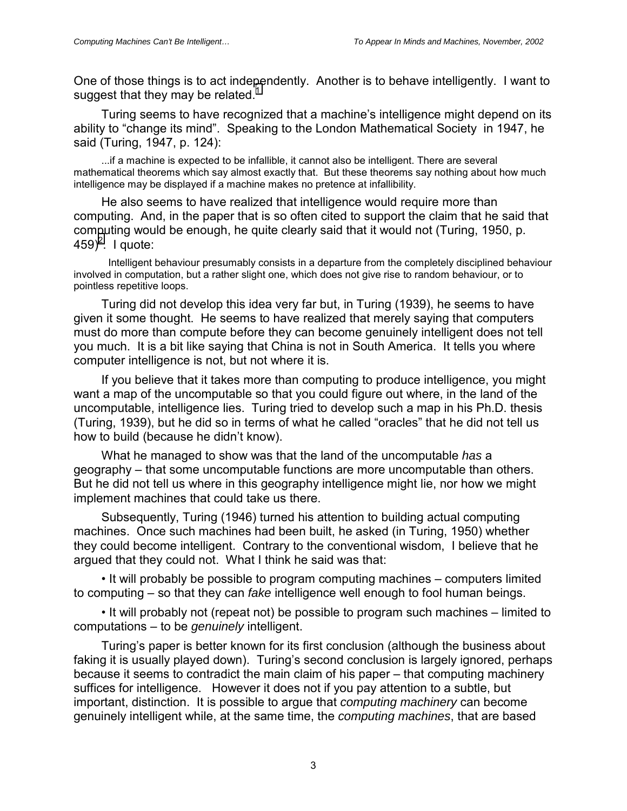One of those things is to act independently. Another is to behave intelligently. I want to suggest that they may be related. $1$ 

Turing seems to have recognized that a machine's intelligence might depend on its ability to "change its mind". Speaking to the London Mathematical Society in 1947, he said (Turing, 1947, p. 124):

...if a machine is expected to be infallible, it cannot also be intelligent. There are several mathematical theorems which say almost exactly that. But these theorems say nothing about how much intelligence may be displayed if a machine makes no pretence at infallibility.

He also seems to have realized that intelligence would require more than computing. And, in the paper that is so often cited to support the claim that he said that computing would be enough, he quite clearly said that it would not (Turing, 1950, p. 459 $^2$ . I quote:

 Intelligent behaviour presumably consists in a departure from the completely disciplined behaviour involved in computation, but a rather slight one, which does not give rise to random behaviour, or to pointless repetitive loops.

Turing did not develop this idea very far but, in Turing (1939), he seems to have given it some thought. He seems to have realized that merely saying that computers must do more than compute before they can become genuinely intelligent does not tell you much. It is a bit like saying that China is not in South America. It tells you where computer intelligence is not, but not where it is.

If you believe that it takes more than computing to produce intelligence, you might want a map of the uncomputable so that you could figure out where, in the land of the uncomputable, intelligence lies. Turing tried to develop such a map in his Ph.D. thesis (Turing, 1939), but he did so in terms of what he called "oracles" that he did not tell us how to build (because he didn't know).

What he managed to show was that the land of the uncomputable *has* a geography – that some uncomputable functions are more uncomputable than others. But he did not tell us where in this geography intelligence might lie, nor how we might implement machines that could take us there.

Subsequently, Turing (1946) turned his attention to building actual computing machines. Once such machines had been built, he asked (in Turing, 1950) whether they could become intelligent. Contrary to the conventional wisdom, I believe that he argued that they could not. What I think he said was that:

• It will probably be possible to program computing machines – computers limited to computing – so that they can *fake* intelligence well enough to fool human beings.

• It will probably not (repeat not) be possible to program such machines – limited to computations – to be *genuinely* intelligent.

Turingís paper is better known for its first conclusion (although the business about faking it is usually played down). Turing's second conclusion is largely ignored, perhaps because it seems to contradict the main claim of his paper – that computing machinery suffices for intelligence. However it does not if you pay attention to a subtle, but important, distinction. It is possible to argue that *computing machinery* can become genuinely intelligent while, at the same time, the *computing machines*, that are based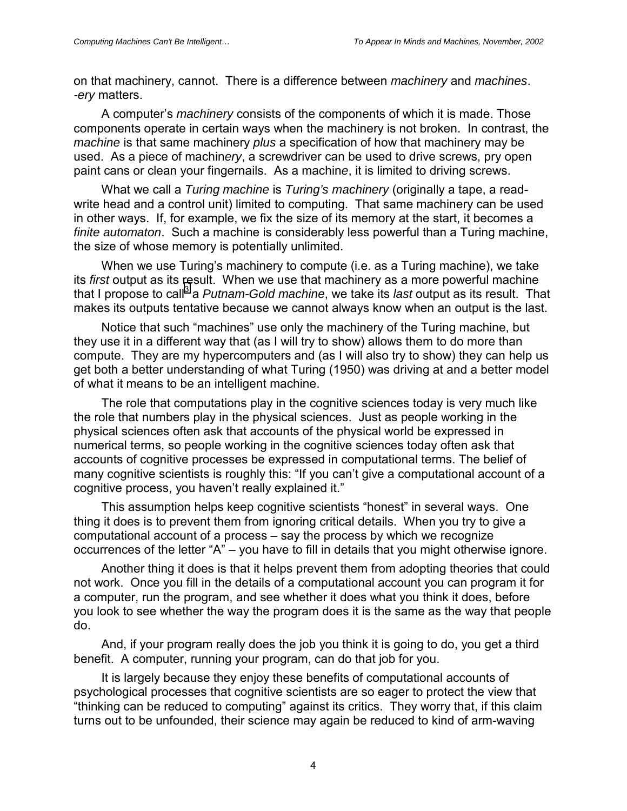on that machinery, cannot. There is a difference between *machinery* and *machines*. *-ery* matters.

A computerís *machinery* consists of the components of which it is made. Those components operate in certain ways when the machinery is not broken. In contrast, the *machine* is that same machinery *plus* a specification of how that machinery may be used. As a piece of machin*ery*, a screwdriver can be used to drive screws, pry open paint cans or clean your fingernails. As a machin*e*, it is limited to driving screws.

What we call a *Turing machine* is *Turing's machinery* (originally a tape, a readwrite head and a control unit) limited to computing. That same machinery can be used in other ways. If, for example, we fix the size of its memory at the start, it becomes a *finite automaton*. Such a machine is considerably less powerful than a Turing machine, the size of whose memory is potentially unlimited.

When we use Turing's machinery to compute (i.e. as a Turing machine), we take its *first* output as its result. When we use that machinery as a more powerful machine that I propose to call<sup>3</sup> a *Putnam-Gold machine*, we take its *last* output as its result. That makes its outputs tentative because we cannot always know when an output is the last.

Notice that such "machines" use only the machinery of the Turing machine, but they use it in a different way that (as I will try to show) allows them to do more than compute. They are my hypercomputers and (as I will also try to show) they can help us get both a better understanding of what Turing (1950) was driving at and a better model of what it means to be an intelligent machine.

The role that computations play in the cognitive sciences today is very much like the role that numbers play in the physical sciences. Just as people working in the physical sciences often ask that accounts of the physical world be expressed in numerical terms, so people working in the cognitive sciences today often ask that accounts of cognitive processes be expressed in computational terms. The belief of many cognitive scientists is roughly this: "If you can't give a computational account of a cognitive process, you haven't really explained it."

This assumption helps keep cognitive scientists "honest" in several ways. One thing it does is to prevent them from ignoring critical details. When you try to give a computational account of a process  $-$  say the process by which we recognize occurrences of the letter  $A'' - you$  have to fill in details that you might otherwise ignore.

Another thing it does is that it helps prevent them from adopting theories that could not work. Once you fill in the details of a computational account you can program it for a computer, run the program, and see whether it does what you think it does, before you look to see whether the way the program does it is the same as the way that people do.

And, if your program really does the job you think it is going to do, you get a third benefit. A computer, running your program, can do that job for you.

It is largely because they enjoy these benefits of computational accounts of psychological processes that cognitive scientists are so eager to protect the view that "thinking can be reduced to computing" against its critics. They worry that, if this claim turns out to be unfounded, their science may again be reduced to kind of arm-waving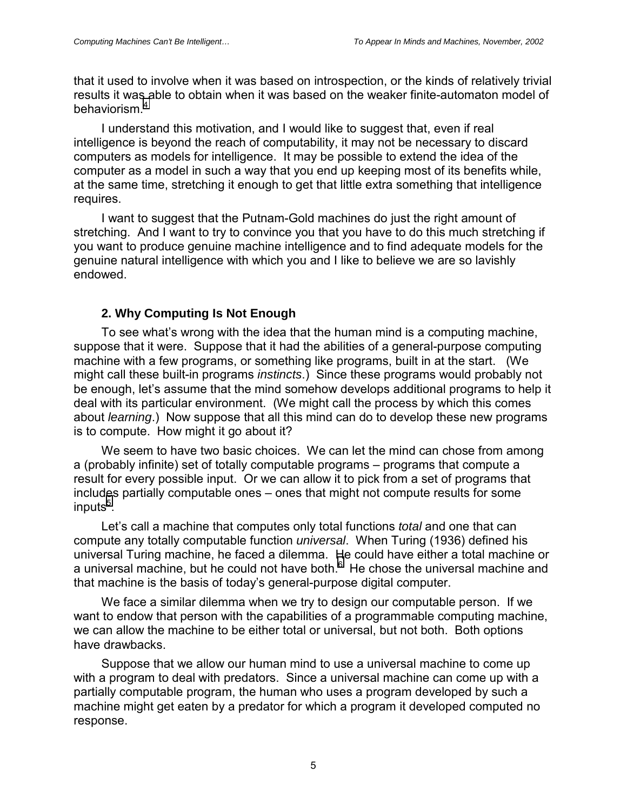that it used to involve when it was based on introspection, or the kinds of relatively trivial results it was able to obtain when it was based on the weaker finite-automaton model of behaviorism.[4](#page-17-0)

I understand this motivation, and I would like to suggest that, even if real intelligence is beyond the reach of computability, it may not be necessary to discard computers as models for intelligence. It may be possible to extend the idea of the computer as a model in such a way that you end up keeping most of its benefits while, at the same time, stretching it enough to get that little extra something that intelligence requires.

I want to suggest that the Putnam-Gold machines do just the right amount of stretching. And I want to try to convince you that you have to do this much stretching if you want to produce genuine machine intelligence and to find adequate models for the genuine natural intelligence with which you and I like to believe we are so lavishly endowed.

# **2. Why Computing Is Not Enough**

To see what's wrong with the idea that the human mind is a computing machine, suppose that it were. Suppose that it had the abilities of a general-purpose computing machine with a few programs, or something like programs, built in at the start. (We might call these built-in programs *instincts*.) Since these programs would probably not be enough, let's assume that the mind somehow develops additional programs to help it deal with its particular environment. (We might call the process by which this comes about *learning*.) Now suppose that all this mind can do to develop these new programs is to compute. How might it go about it?

We seem to have two basic choices. We can let the mind can chose from among a (probably infinite) set of totally computable programs – programs that compute a result for every possible input. Or we can allow it to pick from a set of programs that includes partially computable ones – ones that might not compute results for some inputs<sup>5</sup>.

Letís call a machine that computes only total functions *total* and one that can compute any totally computable function *universal*. When Turing (1936) defined his universal Turing machine, he faced a dilemma. He could have either a total machine or a universal machine, but he could not have both.<sup>6</sup> He chose the universal machine and that machine is the basis of todayís general-purpose digital computer.

We face a similar dilemma when we try to design our computable person. If we want to endow that person with the capabilities of a programmable computing machine, we can allow the machine to be either total or universal, but not both. Both options have drawbacks.

Suppose that we allow our human mind to use a universal machine to come up with a program to deal with predators. Since a universal machine can come up with a partially computable program, the human who uses a program developed by such a machine might get eaten by a predator for which a program it developed computed no response.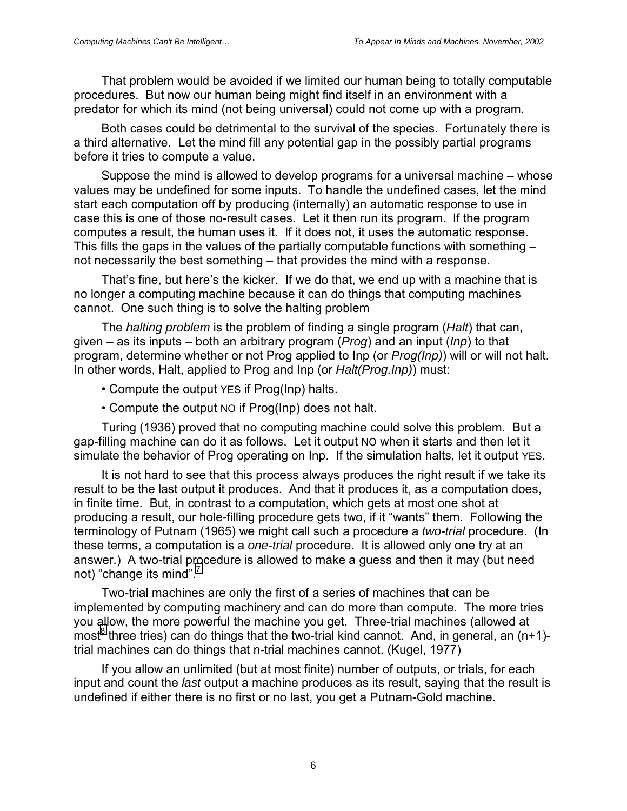That problem would be avoided if we limited our human being to totally computable procedures. But now our human being might find itself in an environment with a predator for which its mind (not being universal) could not come up with a program.

Both cases could be detrimental to the survival of the species. Fortunately there is a third alternative. Let the mind fill any potential gap in the possibly partial programs before it tries to compute a value.

Suppose the mind is allowed to develop programs for a universal machine  $-$  whose values may be undefined for some inputs. To handle the undefined cases, let the mind start each computation off by producing (internally) an automatic response to use in case this is one of those no-result cases. Let it then run its program. If the program computes a result, the human uses it. If it does not, it uses the automatic response. This fills the gaps in the values of the partially computable functions with something  $$ not necessarily the best something – that provides the mind with a response.

That's fine, but here's the kicker. If we do that, we end up with a machine that is no longer a computing machine because it can do things that computing machines cannot. One such thing is to solve the halting problem

The *halting problem* is the problem of finding a single program (*Halt*) that can, given – as its inputs – both an arbitrary program (*Prog*) and an input (*Inp*) to that program, determine whether or not Prog applied to Inp (or *Prog(Inp)*) will or will not halt. In other words, Halt, applied to Prog and Inp (or *Halt(Prog,Inp)*) must:

- Compute the output YES if Prog(Inp) halts.
- Compute the output NO if Prog(Inp) does not halt.

Turing (1936) proved that no computing machine could solve this problem. But a gap-filling machine can do it as follows. Let it output NO when it starts and then let it simulate the behavior of Prog operating on Inp. If the simulation halts, let it output YES.

It is not hard to see that this process always produces the right result if we take its result to be the last output it produces. And that it produces it, as a computation does, in finite time. But, in contrast to a computation, which gets at most one shot at producing a result, our hole-filling procedure gets two, if it "wants" them. Following the terminology of Putnam (1965) we might call such a procedure a *two-trial* procedure. (In these terms, a computation is a *one-trial* procedure. It is allowed only one try at an answer.) A two-trial procedure is allowed to make a guess and then it may (but need not) "change its mind".<sup>7</sup>

Two-trial machines are only the first of a series of machines that can be implemented by computing machinery and can do more than compute. The more tries you allow, the more powerful the machine you get. Three-trial machines (allowed at  $\text{most}^8$  three tries) can do things that the two-trial kind cannot. And, in general, an (n+1)trial machines can do things that n-trial machines cannot. (Kugel, 1977)

If you allow an unlimited (but at most finite) number of outputs, or trials, for each input and count the *last* output a machine produces as its result, saying that the result is undefined if either there is no first or no last, you get a Putnam-Gold machine.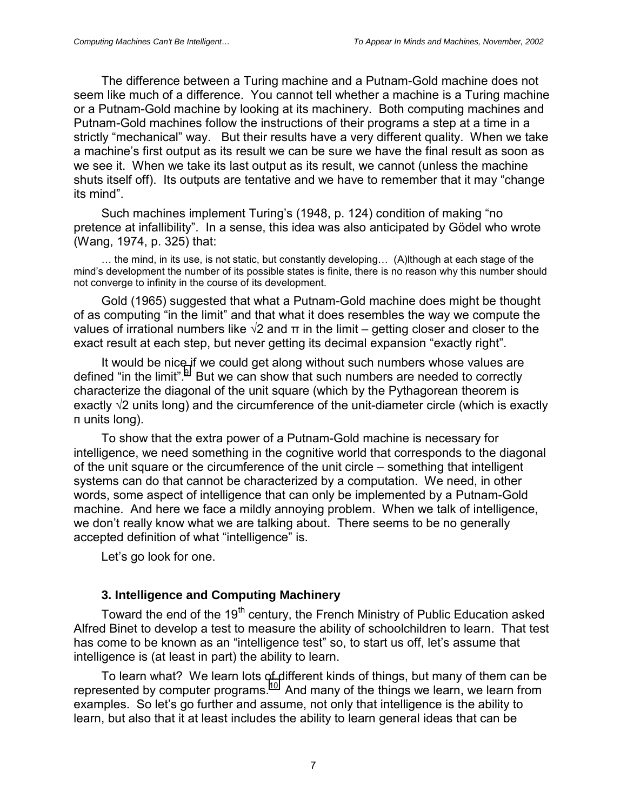The difference between a Turing machine and a Putnam-Gold machine does not seem like much of a difference. You cannot tell whether a machine is a Turing machine or a Putnam-Gold machine by looking at its machinery. Both computing machines and Putnam-Gold machines follow the instructions of their programs a step at a time in a strictly "mechanical" way. But their results have a very different quality. When we take a machine's first output as its result we can be sure we have the final result as soon as we see it. When we take its last output as its result, we cannot (unless the machine shuts itself off). Its outputs are tentative and we have to remember that it may "change its mind".

Such machines implement Turing's (1948, p. 124) condition of making "no pretence at infallibility". In a sense, this idea was also anticipated by Gödel who wrote (Wang, 1974, p. 325) that:

 $\ldots$  the mind, in its use, is not static, but constantly developing $\ldots$  (A)lthough at each stage of the mindís development the number of its possible states is finite, there is no reason why this number should not converge to infinity in the course of its development.

Gold (1965) suggested that what a Putnam-Gold machine does might be thought of as computing "in the limit" and that what it does resembles the way we compute the values of irrational numbers like  $\sqrt{2}$  and π in the limit – getting closer and closer to the exact result at each step, but never getting its decimal expansion "exactly right".

It would be nice if we could get along without such numbers whose values are defined "in the limit".<sup>9</sup> But we can show that such numbers are needed to correctly characterize the diagonal of the unit square (which by the Pythagorean theorem is exactly  $\sqrt{2}$  units long) and the circumference of the unit-diameter circle (which is exactly п units long).

To show that the extra power of a Putnam-Gold machine is necessary for intelligence, we need something in the cognitive world that corresponds to the diagonal of the unit square or the circumference of the unit circle – something that intelligent systems can do that cannot be characterized by a computation. We need, in other words, some aspect of intelligence that can only be implemented by a Putnam-Gold machine. And here we face a mildly annoying problem. When we talk of intelligence, we don't really know what we are talking about. There seems to be no generally accepted definition of what "intelligence" is.

Let's go look for one.

# **3. Intelligence and Computing Machinery**

Toward the end of the 19<sup>th</sup> century, the French Ministry of Public Education asked Alfred Binet to develop a test to measure the ability of schoolchildren to learn. That test has come to be known as an "intelligence test" so, to start us off, let's assume that intelligence is (at least in part) the ability to learn.

To learn what? We learn lots of different kinds of things, but many of them can be represented by computer programs.[10](#page-17-0) And many of the things we learn, we learn from examples. So let's go further and assume, not only that intelligence is the ability to learn, but also that it at least includes the ability to learn general ideas that can be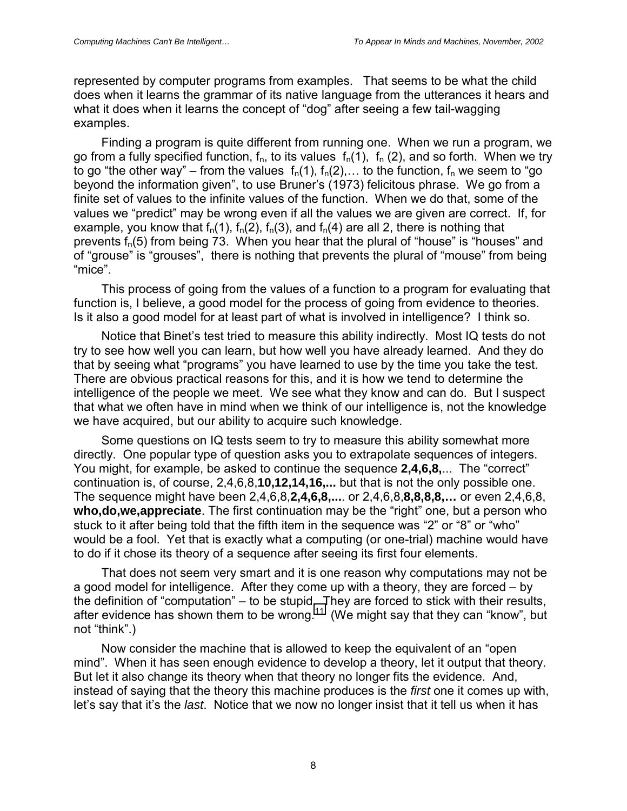represented by computer programs from examples. That seems to be what the child does when it learns the grammar of its native language from the utterances it hears and what it does when it learns the concept of "dog" after seeing a few tail-wagging examples.

Finding a program is quite different from running one. When we run a program, we go from a fully specified function,  $f_n$ , to its values  $f_n(1)$ ,  $f_n(2)$ , and so forth. When we try to go "the other way" – from the values  $f_n(1)$ ,  $f_n(2)$ ,... to the function,  $f_n$  we seem to "go beyond the information given", to use Bruner's (1973) felicitous phrase. We go from a finite set of values to the infinite values of the function. When we do that, some of the values we "predict" may be wrong even if all the values we are given are correct. If, for example, you know that  $f_n(1)$ ,  $f_n(2)$ ,  $f_n(3)$ , and  $f_n(4)$  are all 2, there is nothing that prevents  $f_n(5)$  from being 73. When you hear that the plural of "house" is "houses" and of "grouse" is "grouses", there is nothing that prevents the plural of "mouse" from being "mice".

This process of going from the values of a function to a program for evaluating that function is, I believe, a good model for the process of going from evidence to theories. Is it also a good model for at least part of what is involved in intelligence? I think so.

Notice that Binet's test tried to measure this ability indirectly. Most IQ tests do not try to see how well you can learn, but how well you have already learned. And they do that by seeing what "programs" you have learned to use by the time you take the test. There are obvious practical reasons for this, and it is how we tend to determine the intelligence of the people we meet. We see what they know and can do. But I suspect that what we often have in mind when we think of our intelligence is, not the knowledge we have acquired, but our ability to acquire such knowledge.

Some questions on IQ tests seem to try to measure this ability somewhat more directly. One popular type of question asks you to extrapolate sequences of integers. You might, for example, be asked to continue the sequence **2,4,6,8**,... The "correct" continuation is, of course, 2,4,6,8,**10,12,14,16,...** but that is not the only possible one. The sequence might have been 2,4,6,8,**2,4,6,8,...**. or 2,4,6,8,**8,8,8,8,…** or even 2,4,6,8, **who, do, we, appreciate**. The first continuation may be the "right" one, but a person who stuck to it after being told that the fifth item in the sequence was "2" or "8" or "who" would be a fool. Yet that is exactly what a computing (or one-trial) machine would have to do if it chose its theory of a sequence after seeing its first four elements.

That does not seem very smart and it is one reason why computations may not be a good model for intelligence. After they come up with a theory, they are forced  $-$  by the definition of "computation"  $-$  to be stupid. They are forced to stick with their results, after evidence has shown them to be wrong.<sup>11</sup> (We might say that they can "know", but not "think".)

Now consider the machine that is allowed to keep the equivalent of an "open" mind". When it has seen enough evidence to develop a theory, let it output that theory. But let it also change its theory when that theory no longer fits the evidence. And, instead of saying that the theory this machine produces is the *first* one it comes up with, letís say that itís the *last*. Notice that we now no longer insist that it tell us when it has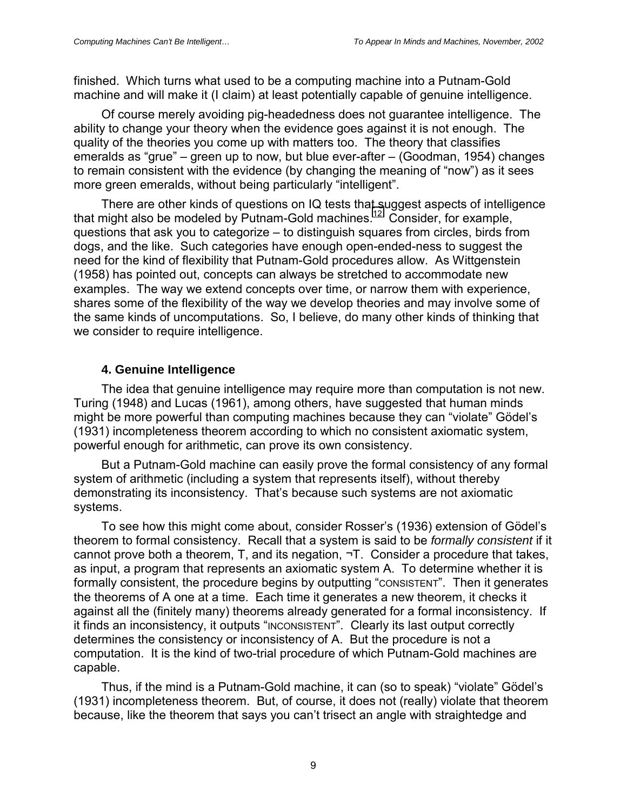finished. Which turns what used to be a computing machine into a Putnam-Gold machine and will make it (I claim) at least potentially capable of genuine intelligence.

Of course merely avoiding pig-headedness does not guarantee intelligence. The ability to change your theory when the evidence goes against it is not enough. The quality of the theories you come up with matters too. The theory that classifies emeralds as "grue"  $-$  green up to now, but blue ever-after  $-$  (Goodman, 1954) changes to remain consistent with the evidence (by changing the meaning of "now") as it sees more green emeralds, without being particularly "intelligent".

There are other kinds of questions on IQ tests that suggest aspects of intelligence that might also be modeled by Putnam-Gold machines.<sup>12</sup> Consider, for example, questions that ask you to categorize  $-$  to distinguish squares from circles, birds from dogs, and the like. Such categories have enough open-ended-ness to suggest the need for the kind of flexibility that Putnam-Gold procedures allow. As Wittgenstein (1958) has pointed out, concepts can always be stretched to accommodate new examples. The way we extend concepts over time, or narrow them with experience, shares some of the flexibility of the way we develop theories and may involve some of the same kinds of uncomputations. So, I believe, do many other kinds of thinking that we consider to require intelligence.

# **4. Genuine Intelligence**

The idea that genuine intelligence may require more than computation is not new. Turing (1948) and Lucas (1961), among others, have suggested that human minds might be more powerful than computing machines because they can "violate" Gödel's (1931) incompleteness theorem according to which no consistent axiomatic system, powerful enough for arithmetic, can prove its own consistency.

But a Putnam-Gold machine can easily prove the formal consistency of any formal system of arithmetic (including a system that represents itself), without thereby demonstrating its inconsistency. That's because such systems are not axiomatic systems.

To see how this might come about, consider Rosser's (1936) extension of Gödel's theorem to formal consistency. Recall that a system is said to be *formally consistent* if it cannot prove both a theorem,  $T$ , and its negation,  $\neg T$ . Consider a procedure that takes, as input, a program that represents an axiomatic system A. To determine whether it is formally consistent, the procedure begins by outputting "CONSISTENT". Then it generates the theorems of A one at a time. Each time it generates a new theorem, it checks it against all the (finitely many) theorems already generated for a formal inconsistency. If it finds an inconsistency, it outputs "INCONSISTENT". Clearly its last output correctly determines the consistency or inconsistency of A. But the procedure is not a computation. It is the kind of two-trial procedure of which Putnam-Gold machines are capable.

Thus, if the mind is a Putnam-Gold machine, it can (so to speak) "violate" Gödel's (1931) incompleteness theorem. But, of course, it does not (really) violate that theorem because, like the theorem that says you canít trisect an angle with straightedge and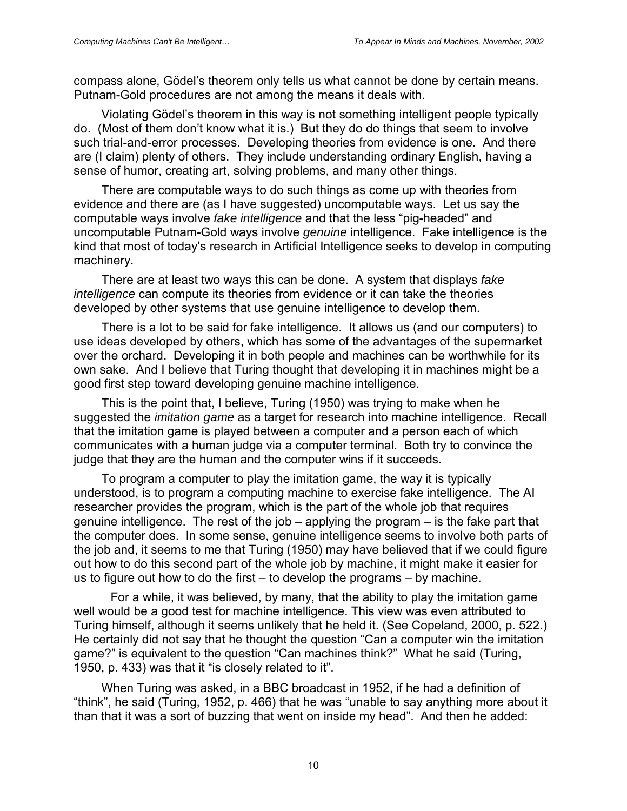compass alone, Gödel's theorem only tells us what cannot be done by certain means. Putnam-Gold procedures are not among the means it deals with.

Violating Gödel's theorem in this way is not something intelligent people typically do. (Most of them donít know what it is.) But they do do things that seem to involve such trial-and-error processes. Developing theories from evidence is one. And there are (I claim) plenty of others. They include understanding ordinary English, having a sense of humor, creating art, solving problems, and many other things.

There are computable ways to do such things as come up with theories from evidence and there are (as I have suggested) uncomputable ways. Let us say the computable ways involve *fake intelligence* and that the less "pig-headed" and uncomputable Putnam-Gold ways involve *genuine* intelligence. Fake intelligence is the kind that most of today's research in Artificial Intelligence seeks to develop in computing machinery.

There are at least two ways this can be done. A system that displays *fake intelligence* can compute its theories from evidence or it can take the theories developed by other systems that use genuine intelligence to develop them.

There is a lot to be said for fake intelligence. It allows us (and our computers) to use ideas developed by others, which has some of the advantages of the supermarket over the orchard. Developing it in both people and machines can be worthwhile for its own sake. And I believe that Turing thought that developing it in machines might be a good first step toward developing genuine machine intelligence.

This is the point that, I believe, Turing (1950) was trying to make when he suggested the *imitation game* as a target for research into machine intelligence. Recall that the imitation game is played between a computer and a person each of which communicates with a human judge via a computer terminal. Both try to convince the judge that they are the human and the computer wins if it succeeds.

To program a computer to play the imitation game, the way it is typically understood, is to program a computing machine to exercise fake intelligence. The AI researcher provides the program, which is the part of the whole job that requires genuine intelligence. The rest of the job  $-$  applying the program  $-$  is the fake part that the computer does. In some sense, genuine intelligence seems to involve both parts of the job and, it seems to me that Turing (1950) may have believed that if we could figure out how to do this second part of the whole job by machine, it might make it easier for us to figure out how to do the first  $-$  to develop the programs  $-$  by machine.

For a while, it was believed, by many, that the ability to play the imitation game well would be a good test for machine intelligence. This view was even attributed to Turing himself, although it seems unlikely that he held it. (See Copeland, 2000, p. 522.) He certainly did not say that he thought the question "Can a computer win the imitation game?" is equivalent to the question "Can machines think?" What he said (Turing, 1950, p. 433) was that it "is closely related to it".

When Turing was asked, in a BBC broadcast in 1952, if he had a definition of "think", he said (Turing, 1952, p. 466) that he was "unable to say anything more about it than that it was a sort of buzzing that went on inside my head". And then he added: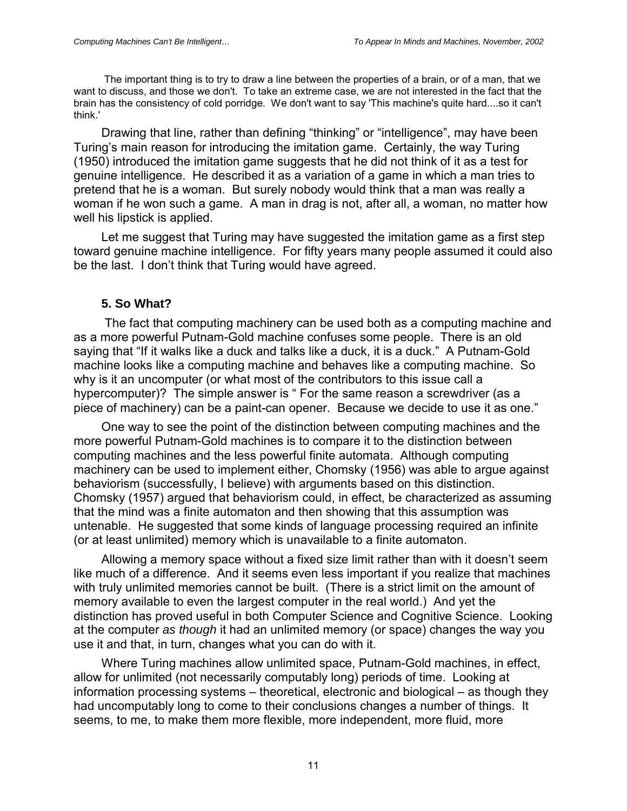The important thing is to try to draw a line between the properties of a brain, or of a man, that we want to discuss, and those we don't. To take an extreme case, we are not interested in the fact that the brain has the consistency of cold porridge. We don't want to say 'This machine's quite hard....so it can't think.'

Drawing that line, rather than defining "thinking" or "intelligence", may have been Turingís main reason for introducing the imitation game. Certainly, the way Turing (1950) introduced the imitation game suggests that he did not think of it as a test for genuine intelligence. He described it as a variation of a game in which a man tries to pretend that he is a woman. But surely nobody would think that a man was really a woman if he won such a game. A man in drag is not, after all, a woman, no matter how well his lipstick is applied.

Let me suggest that Turing may have suggested the imitation game as a first step toward genuine machine intelligence. For fifty years many people assumed it could also be the last. I don't think that Turing would have agreed.

#### **5. So What?**

The fact that computing machinery can be used both as a computing machine and as a more powerful Putnam-Gold machine confuses some people. There is an old saying that "If it walks like a duck and talks like a duck, it is a duck." A Putnam-Gold machine looks like a computing machine and behaves like a computing machine. So why is it an uncomputer (or what most of the contributors to this issue call a hypercomputer)? The simple answer is " For the same reason a screwdriver (as a piece of machinery) can be a paint-can opener. Because we decide to use it as one."

One way to see the point of the distinction between computing machines and the more powerful Putnam-Gold machines is to compare it to the distinction between computing machines and the less powerful finite automata. Although computing machinery can be used to implement either, Chomsky (1956) was able to argue against behaviorism (successfully, I believe) with arguments based on this distinction. Chomsky (1957) argued that behaviorism could, in effect, be characterized as assuming that the mind was a finite automaton and then showing that this assumption was untenable. He suggested that some kinds of language processing required an infinite (or at least unlimited) memory which is unavailable to a finite automaton.

Allowing a memory space without a fixed size limit rather than with it doesnít seem like much of a difference. And it seems even less important if you realize that machines with truly unlimited memories cannot be built. (There is a strict limit on the amount of memory available to even the largest computer in the real world.) And yet the distinction has proved useful in both Computer Science and Cognitive Science. Looking at the computer *as though* it had an unlimited memory (or space) changes the way you use it and that, in turn, changes what you can do with it.

Where Turing machines allow unlimited space, Putnam-Gold machines, in effect, allow for unlimited (not necessarily computably long) periods of time. Looking at information processing systems  $-$  theoretical, electronic and biological  $-$  as though they had uncomputably long to come to their conclusions changes a number of things. It seems, to me, to make them more flexible, more independent, more fluid, more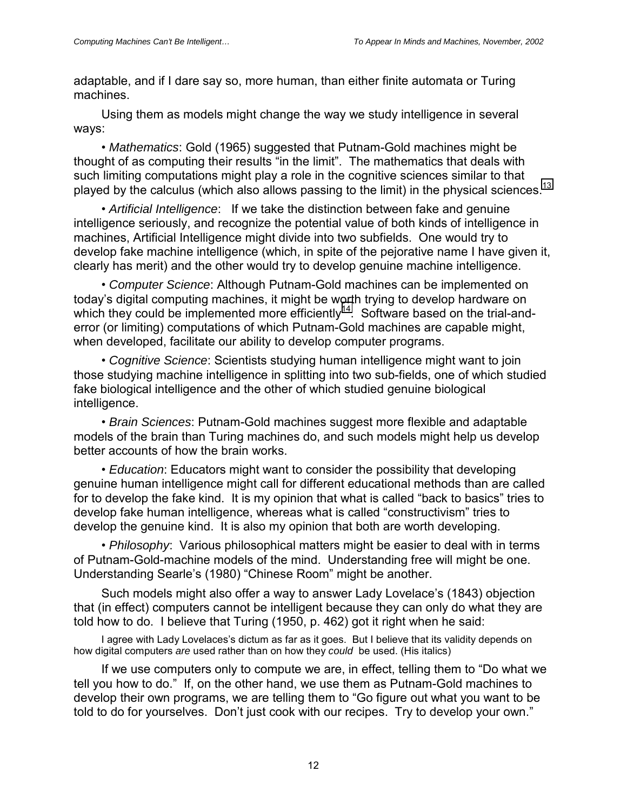adaptable, and if I dare say so, more human, than either finite automata or Turing machines.

Using them as models might change the way we study intelligence in several ways:

• *Mathematics: Gold (1965) suggested that Putnam-Gold machines might be* thought of as computing their results "in the limit". The mathematics that deals with such limiting computations might play a role in the cognitive sciences similar to that played by the calculus (which also allows passing to the limit) in the physical sciences.<sup>13</sup>

ï *Artificial Intelligence*: If we take the distinction between fake and genuine intelligence seriously, and recognize the potential value of both kinds of intelligence in machines, Artificial Intelligence might divide into two subfields. One would try to develop fake machine intelligence (which, in spite of the pejorative name I have given it, clearly has merit) and the other would try to develop genuine machine intelligence.

ï *Computer Science*: Although Putnam-Gold machines can be implemented on todayís digital computing machines, it might be worth trying to develop hardware on which they could be implemented more efficiently<sup>14</sup>. Software based on the trial-anderror (or limiting) computations of which Putnam-Gold machines are capable might, when developed, facilitate our ability to develop computer programs.

ï *Cognitive Science*: Scientists studying human intelligence might want to join those studying machine intelligence in splitting into two sub-fields, one of which studied fake biological intelligence and the other of which studied genuine biological intelligence.

ï *Brain Sciences*: Putnam-Gold machines suggest more flexible and adaptable models of the brain than Turing machines do, and such models might help us develop better accounts of how the brain works.

ï *Education*: Educators might want to consider the possibility that developing genuine human intelligence might call for different educational methods than are called for to develop the fake kind. It is my opinion that what is called "back to basics" tries to develop fake human intelligence, whereas what is called "constructivism" tries to develop the genuine kind. It is also my opinion that both are worth developing.

ï *Philosophy*: Various philosophical matters might be easier to deal with in terms of Putnam-Gold-machine models of the mind. Understanding free will might be one. Understanding Searle's (1980) "Chinese Room" might be another.

Such models might also offer a way to answer Lady Lovelace's (1843) objection that (in effect) computers cannot be intelligent because they can only do what they are told how to do. I believe that Turing (1950, p. 462) got it right when he said:

I agree with Lady Lovelaces's dictum as far as it goes. But I believe that its validity depends on how digital computers *are* used rather than on how they *could* be used. (His italics)

If we use computers only to compute we are, in effect, telling them to "Do what we tell you how to do.î If, on the other hand, we use them as Putnam-Gold machines to develop their own programs, we are telling them to "Go figure out what you want to be told to do for yourselves. Don't just cook with our recipes. Try to develop your own."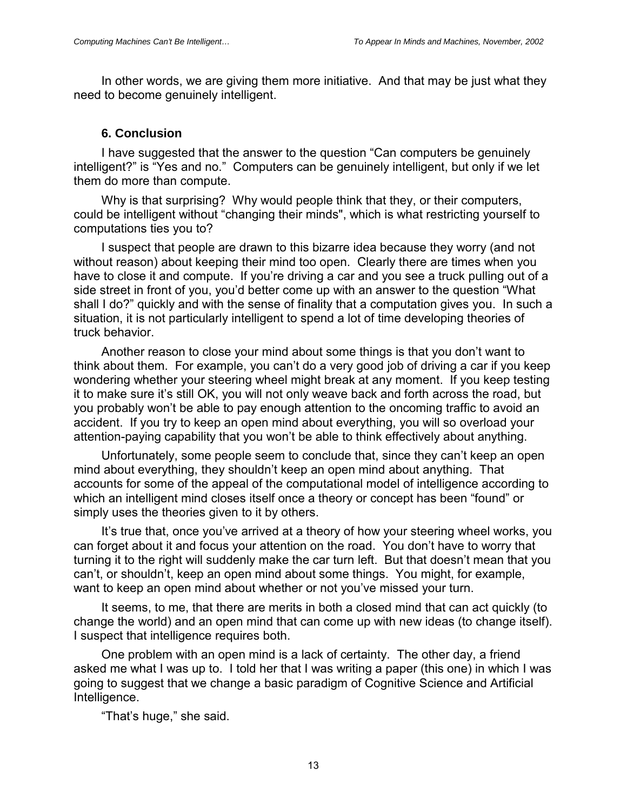In other words, we are giving them more initiative. And that may be just what they need to become genuinely intelligent.

# **6. Conclusion**

I have suggested that the answer to the question "Can computers be genuinely intelligent?" is "Yes and no." Computers can be genuinely intelligent, but only if we let them do more than compute.

Why is that surprising? Why would people think that they, or their computers, could be intelligent without "changing their minds", which is what restricting yourself to computations ties you to?

I suspect that people are drawn to this bizarre idea because they worry (and not without reason) about keeping their mind too open. Clearly there are times when you have to close it and compute. If you're driving a car and you see a truck pulling out of a side street in front of you, you'd better come up with an answer to the question "What shall I do?" quickly and with the sense of finality that a computation gives you. In such a situation, it is not particularly intelligent to spend a lot of time developing theories of truck behavior.

Another reason to close your mind about some things is that you don't want to think about them. For example, you can't do a very good job of driving a car if you keep wondering whether your steering wheel might break at any moment. If you keep testing it to make sure it's still OK, you will not only weave back and forth across the road, but you probably won't be able to pay enough attention to the oncoming traffic to avoid an accident. If you try to keep an open mind about everything, you will so overload your attention-paying capability that you won't be able to think effectively about anything.

Unfortunately, some people seem to conclude that, since they can't keep an open mind about everything, they shouldn't keep an open mind about anything. That accounts for some of the appeal of the computational model of intelligence according to which an intelligent mind closes itself once a theory or concept has been "found" or simply uses the theories given to it by others.

It's true that, once you've arrived at a theory of how your steering wheel works, you can forget about it and focus your attention on the road. You don't have to worry that turning it to the right will suddenly make the car turn left. But that doesn't mean that you can't, or shouldn't, keep an open mind about some things. You might, for example, want to keep an open mind about whether or not you've missed your turn.

It seems, to me, that there are merits in both a closed mind that can act quickly (to change the world) and an open mind that can come up with new ideas (to change itself). I suspect that intelligence requires both.

One problem with an open mind is a lack of certainty. The other day, a friend asked me what I was up to. I told her that I was writing a paper (this one) in which I was going to suggest that we change a basic paradigm of Cognitive Science and Artificial Intelligence.

"That's huge," she said.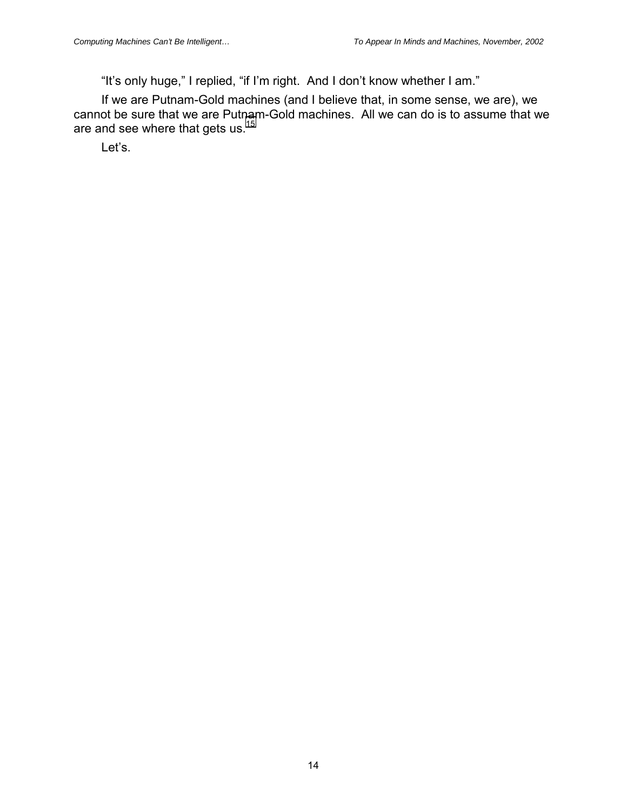"It's only huge," I replied, "if I'm right. And I don't know whether I am."

If we are Putnam-Gold machines (and I believe that, in some sense, we are), we cannot be sure that we are Putnam-Gold machines. All we can do is to assume that we are and see where that gets us[.15](#page-17-0)

Let's.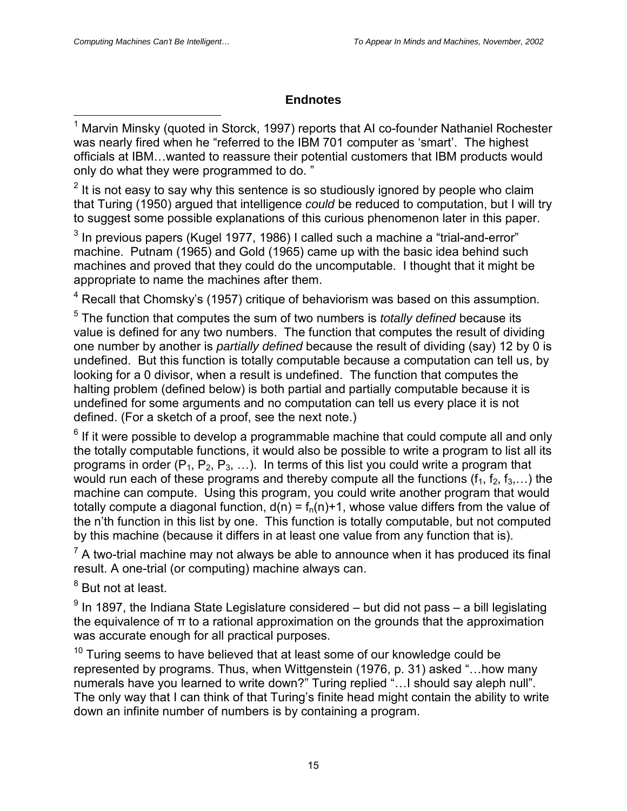# **Endnotes**

l 1 Marvin Minsky (quoted in Storck, 1997) reports that AI co-founder Nathaniel Rochester was nearly fired when he "referred to the IBM 701 computer as 'smart'. The highest officials at IBM...wanted to reassure their potential customers that IBM products would only do what they were programmed to do."

 $2$  It is not easy to say why this sentence is so studiously ignored by people who claim that Turing (1950) argued that intelligence *could* be reduced to computation, but I will try to suggest some possible explanations of this curious phenomenon later in this paper.

 $3$  In previous papers (Kugel 1977, 1986) I called such a machine a "trial-and-error" machine. Putnam (1965) and Gold (1965) came up with the basic idea behind such machines and proved that they could do the uncomputable. I thought that it might be appropriate to name the machines after them.

 $4$  Recall that Chomsky's (1957) critique of behaviorism was based on this assumption.

5 The function that computes the sum of two numbers is *totally defined* because its value is defined for any two numbers. The function that computes the result of dividing one number by another is *partially defined* because the result of dividing (say) 12 by 0 is undefined. But this function is totally computable because a computation can tell us, by looking for a 0 divisor, when a result is undefined. The function that computes the halting problem (defined below) is both partial and partially computable because it is undefined for some arguments and no computation can tell us every place it is not defined. (For a sketch of a proof, see the next note.)

 $6$  If it were possible to develop a programmable machine that could compute all and only the totally computable functions, it would also be possible to write a program to list all its programs in order ( $P_1, P_2, P_3, \ldots$ ). In terms of this list you could write a program that would run each of these programs and thereby compute all the functions ( $f_1, f_2, f_3,...$ ) the machine can compute. Using this program, you could write another program that would totally compute a diagonal function,  $d(n) = f<sub>n</sub>(n)+1$ , whose value differs from the value of the níth function in this list by one. This function is totally computable, but not computed by this machine (because it differs in at least one value from any function that is).

 $7$  A two-trial machine may not always be able to announce when it has produced its final result. A one-trial (or computing) machine always can.

<sup>8</sup> But not at least.

 $9$  In 1897, the Indiana State Legislature considered – but did not pass – a bill legislating the equivalence of  $\pi$  to a rational approximation on the grounds that the approximation was accurate enough for all practical purposes.

 $10$  Turing seems to have believed that at least some of our knowledge could be represented by programs. Thus, when Wittgenstein (1976, p. 31) asked "...how many numerals have you learned to write down?" Turing replied "... I should say aleph null". The only way that I can think of that Turing's finite head might contain the ability to write down an infinite number of numbers is by containing a program.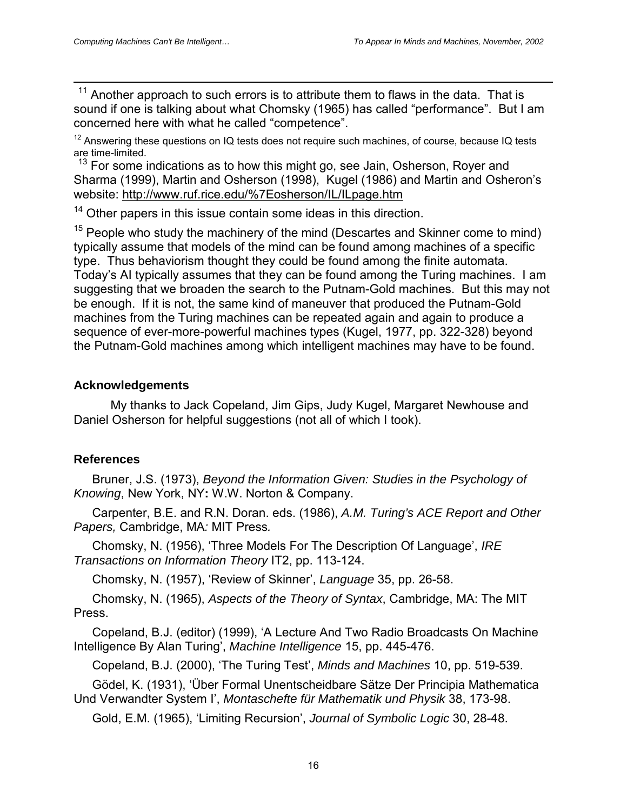$11$  Another approach to such errors is to attribute them to flaws in the data. That is sound if one is talking about what Chomsky (1965) has called "performance". But I am concerned here with what he called "competence".

 $12$  Answering these questions on IQ tests does not require such machines, of course, because IQ tests are time-limited.

 $13$  For some indications as to how this might go, see Jain, Osherson, Royer and Sharma (1999), Martin and Osherson (1998), Kugel (1986) and Martin and Osheronís website: http://www.ruf.rice.edu/%7Eosherson/IL/ILpage.htm

<sup>14</sup> Other papers in this issue contain some ideas in this direction.

 $15$  People who study the machinery of the mind (Descartes and Skinner come to mind) typically assume that models of the mind can be found among machines of a specific type. Thus behaviorism thought they could be found among the finite automata. Todayís AI typically assumes that they can be found among the Turing machines. I am suggesting that we broaden the search to the Putnam-Gold machines. But this may not be enough. If it is not, the same kind of maneuver that produced the Putnam-Gold machines from the Turing machines can be repeated again and again to produce a sequence of ever-more-powerful machines types (Kugel, 1977, pp. 322-328) beyond the Putnam-Gold machines among which intelligent machines may have to be found.

#### **Acknowledgements**

My thanks to Jack Copeland, Jim Gips, Judy Kugel, Margaret Newhouse and Daniel Osherson for helpful suggestions (not all of which I took).

#### **References**

Bruner, J.S. (1973), *Beyond the Information Given: Studies in the Psychology of Knowing*, New York, NY**:** W.W. Norton & Company.

Carpenter, B.E. and R.N. Doran. eds. (1986), *A.M. Turing's ACE Report and Other Papers,* Cambridge, MA*:* MIT Press*.*

Chomsky, N. (1956), ëThree Models For The Description Of Languageí, *IRE Transactions on Information Theory* IT2, pp. 113-124.

Chomsky, N. (1957), 'Review of Skinner', *Language* 35, pp. 26-58.

Chomsky, N. (1965), *Aspects of the Theory of Syntax*, Cambridge, MA: The MIT Press.

Copeland, B.J. (editor) (1999), ëA Lecture And Two Radio Broadcasts On Machine Intelligence By Alan Turingí, *Machine Intelligence* 15, pp. 445-476.

Copeland, B.J. (2000), ëThe Turing Testí, *Minds and Machines* 10, pp. 519-539.

Gödel, K. (1931), 'Über Formal Unentscheidbare Sätze Der Principia Mathematica Und Verwandter System Ií, *Montaschefte für Mathematik und Physik* 38, 173-98.

Gold, E.M. (1965), 'Limiting Recursion', *Journal of Symbolic Logic* 30, 28-48.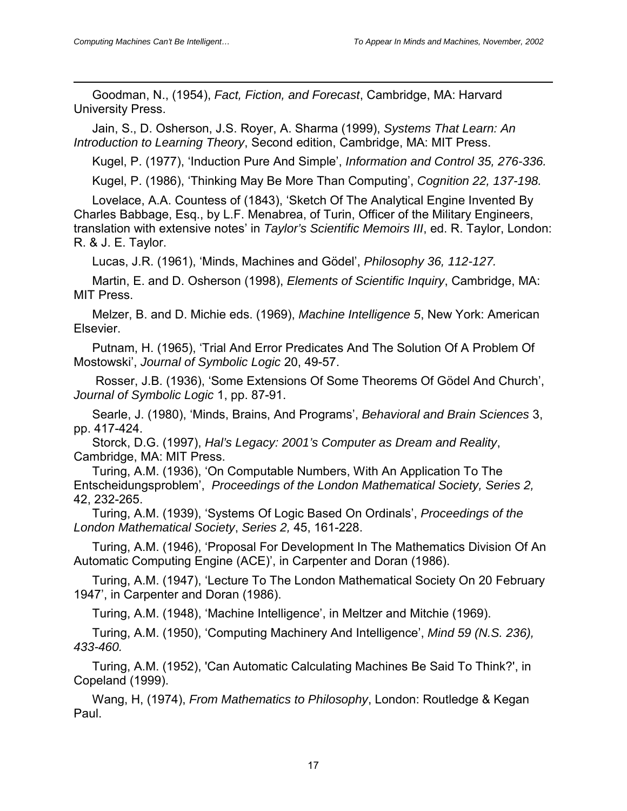l

Goodman, N., (1954), *Fact, Fiction, and Forecast*, Cambridge, MA: Harvard University Press.

Jain, S., D. Osherson, J.S. Royer, A. Sharma (1999), *Systems That Learn: An Introduction to Learning Theory*, Second edition, Cambridge, MA: MIT Press.

Kugel, P. (1977), 'Induction Pure And Simple', *Information and Control 35, 276-336.* 

Kugel, P. (1986), ëThinking May Be More Than Computingí, *Cognition 22, 137-198.* 

Lovelace, A.A. Countess of (1843), 'Sketch Of The Analytical Engine Invented By Charles Babbage, Esq., by L.F. Menabrea, of Turin, Officer of the Military Engineers, translation with extensive notes' in *Taylor's Scientific Memoirs III*, ed. R. Taylor, London: R. & J. E. Taylor.

Lucas, J.R. (1961), 'Minds, Machines and Gödel', *Philosophy 36, 112-127.* 

Martin, E. and D. Osherson (1998), *Elements of Scientific Inquiry*, Cambridge, MA: MIT Press.

Melzer, B. and D. Michie eds. (1969), *Machine Intelligence 5*, New York: American Elsevier.

Putnam, H. (1965), 'Trial And Error Predicates And The Solution Of A Problem Of Mostowskií, *Journal of Symbolic Logic* 20, 49-57.

Rosser, J.B. (1936), 'Some Extensions Of Some Theorems Of Gödel And Church', *Journal of Symbolic Logic* 1, pp. 87-91.

Searle, J. (1980), ëMinds, Brains, And Programsí, *Behavioral and Brain Sciences* 3, pp. 417-424.

Storck, D.G. (1997), *Hal's Legacy: 2001's Computer as Dream and Reality*, Cambridge, MA: MIT Press.

Turing, A.M. (1936), 'On Computable Numbers, With An Application To The Entscheidungsproblemí, *Proceedings of the London Mathematical Society, Series 2,*  42, 232-265.

Turing, A.M. (1939), 'Systems Of Logic Based On Ordinals', *Proceedings of the London Mathematical Society*, *Series 2,* 45, 161-228.

Turing, A.M. (1946), 'Proposal For Development In The Mathematics Division Of An Automatic Computing Engine (ACE)', in Carpenter and Doran (1986).

Turing, A.M. (1947), 'Lecture To The London Mathematical Society On 20 February 1947<sup>'</sup>, in Carpenter and Doran (1986).

Turing, A.M. (1948), 'Machine Intelligence', in Meltzer and Mitchie (1969).

Turing, A.M. (1950), ëComputing Machinery And Intelligenceí, *Mind 59 (N.S. 236), 433-460.*

Turing, A.M. (1952), 'Can Automatic Calculating Machines Be Said To Think?', in Copeland (1999).

Wang, H, (1974), *From Mathematics to Philosophy*, London: Routledge & Kegan Paul.